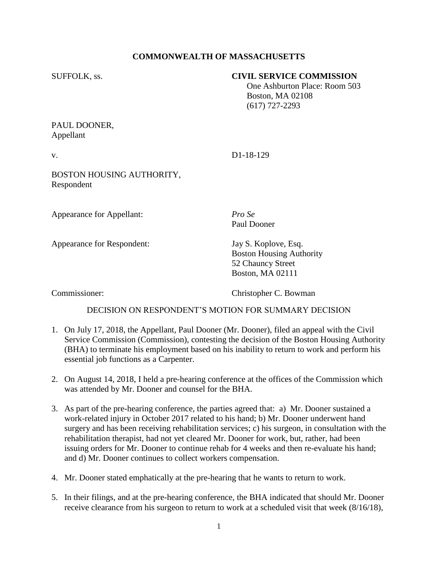# **COMMONWEALTH OF MASSACHUSETTS**

### SUFFOLK, ss. **CIVIL SERVICE COMMISSION**

 One Ashburton Place: Room 503 Boston, MA 02108 (617) 727-2293

# PAUL DOONER, Appellant

v. D1-18-129

BOSTON HOUSING AUTHORITY, Respondent

Appearance for Appellant: *Pro Se*

Appearance for Respondent: Jay S. Koplove, Esq.

Paul Dooner

Boston Housing Authority 52 Chauncy Street Boston, MA 02111

Commissioner: Christopher C. Bowman

# DECISION ON RESPONDENT'S MOTION FOR SUMMARY DECISION

- 1. On July 17, 2018, the Appellant, Paul Dooner (Mr. Dooner), filed an appeal with the Civil Service Commission (Commission), contesting the decision of the Boston Housing Authority (BHA) to terminate his employment based on his inability to return to work and perform his essential job functions as a Carpenter.
- 2. On August 14, 2018, I held a pre-hearing conference at the offices of the Commission which was attended by Mr. Dooner and counsel for the BHA.
- 3. As part of the pre-hearing conference, the parties agreed that: a) Mr. Dooner sustained a work-related injury in October 2017 related to his hand; b) Mr. Dooner underwent hand surgery and has been receiving rehabilitation services; c) his surgeon, in consultation with the rehabilitation therapist, had not yet cleared Mr. Dooner for work, but, rather, had been issuing orders for Mr. Dooner to continue rehab for 4 weeks and then re-evaluate his hand; and d) Mr. Dooner continues to collect workers compensation.
- 4. Mr. Dooner stated emphatically at the pre-hearing that he wants to return to work.
- 5. In their filings, and at the pre-hearing conference, the BHA indicated that should Mr. Dooner receive clearance from his surgeon to return to work at a scheduled visit that week (8/16/18),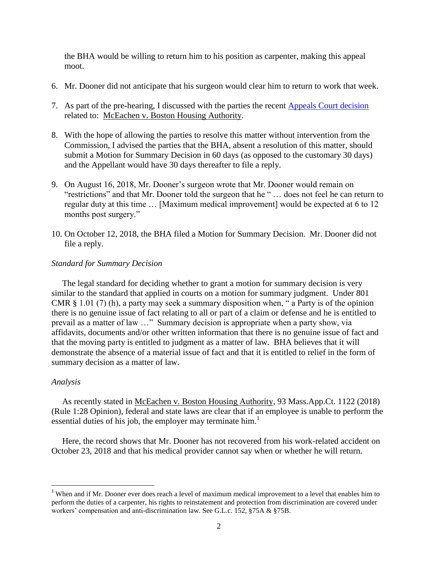the BHA would be willing to return him to his position as carpenter, making this appeal moot.

- 6. Mr. Dooner did not anticipate that his surgeon would clear him to return to work that week.
- 7. As part of the pre-hearing, I discussed with the parties the recent [Appeals Court decision](https://www.mass.gov/files/documents/2018/08/10/mceachen_robert_appeals_081018.pdf) related to: McEachen v. Boston Housing Authority.
- 8. With the hope of allowing the parties to resolve this matter without intervention from the Commission, I advised the parties that the BHA, absent a resolution of this matter, should submit a Motion for Summary Decision in 60 days (as opposed to the customary 30 days) and the Appellant would have 30 days thereafter to file a reply.
- 9. On August 16, 2018, Mr. Dooner's surgeon wrote that Mr. Dooner would remain on "restrictions" and that Mr. Dooner told the surgeon that he " … does not feel he can return to regular duty at this time … [Maximum medical improvement] would be expected at 6 to 12 months post surgery."
- 10. On October 12, 2018, the BHA filed a Motion for Summary Decision. Mr. Dooner did not file a reply.

#### *Standard for Summary Decision*

 The legal standard for deciding whether to grant a motion for summary decision is very similar to the standard that applied in courts on a motion for summary judgment. Under 801 CMR § 1.01 (7) (h), a party may seek a summary disposition when, " a Party is of the opinion there is no genuine issue of fact relating to all or part of a claim or defense and he is entitled to prevail as a matter of law …" Summary decision is appropriate when a party show, via affidavits, documents and/or other written information that there is no genuine issue of fact and that the moving party is entitled to judgment as a matter of law. BHA believes that it will demonstrate the absence of a material issue of fact and that it is entitled to relief in the form of summary decision as a matter of law.

#### *Analysis*

 $\overline{\phantom{a}}$ 

 As recently stated in McEachen v. Boston Housing Authority, 93 Mass.App.Ct. 1122 (2018) (Rule 1:28 Opinion), federal and state laws are clear that if an employee is unable to perform the essential duties of his job, the employer may terminate him.<sup>1</sup>

 Here, the record shows that Mr. Dooner has not recovered from his work-related accident on October 23, 2018 and that his medical provider cannot say when or whether he will return.

<sup>&</sup>lt;sup>1</sup> When and if Mr. Dooner ever does reach a level of maximum medical improvement to a level that enables him to perform the duties of a carpenter, his rights to reinstatement and protection from discrimination are covered under workers' compensation and anti-discrimination law. See G.L.c. 152, §75A & §75B.